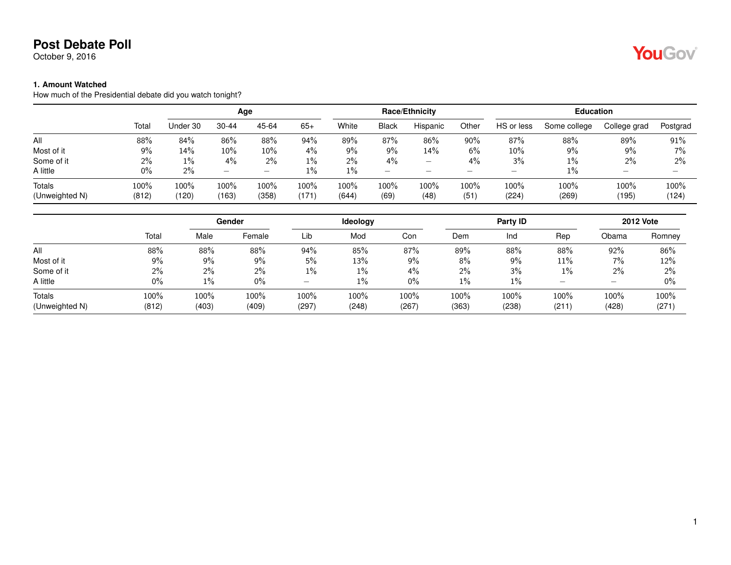October 9, 2016

#### **1. Amount Watched**

How much of the Presidential debate did you watch tonight?

|                |       |          | Age       |        |       |       |                          | Race/Ethnicity           |       |            | <b>Education</b> |              |                          |
|----------------|-------|----------|-----------|--------|-------|-------|--------------------------|--------------------------|-------|------------|------------------|--------------|--------------------------|
|                | Total | Under 30 | $30 - 44$ | 45-64  | $65+$ | White | <b>Black</b>             | Hispanic                 | Other | HS or less | Some college     | College grad | Postgrad                 |
| All            | 88%   | 84%      | 86%       | 88%    | 94%   | 89%   | 87%                      | 86%                      | 90%   | 87%        | 88%              | 89%          | 91%                      |
| Most of it     | 9%    | 14%      | 10%       | $10\%$ | $4\%$ | 9%    | 9%                       | 14%                      | 6%    | $10\%$     | 9%               | 9%           | $7\%$                    |
| Some of it     | 2%    | $1\%$    | $4\%$     | $2\%$  | 1%    | $2\%$ | 4%                       | $\overline{\phantom{m}}$ | 4%    | 3%         | 1%               | 2%           | 2%                       |
| A little       | $0\%$ | $2\%$    | –         | –      | $1\%$ | 1%    | $\overline{\phantom{0}}$ | $\overline{\phantom{a}}$ | _     |            | $1\%$            |              | $\overline{\phantom{a}}$ |
| Totals         | 100%  | 100%     | 100%      | 100%   | 100%  | 100%  | 100%                     | 100%                     | 100%  | 100%       | 100%             | 100%         | 100%                     |
| (Unweighted N) | (812) | (120)    | (163)     | (358)  | (171  | (644) | (69)                     | (48)                     | (51)  | (224)      | (269)            | (195)        | (124)                    |

|                |       |       | Gender |       | Ideology |       |       | <b>Party ID</b> |                          |       | <b>2012 Vote</b> |
|----------------|-------|-------|--------|-------|----------|-------|-------|-----------------|--------------------------|-------|------------------|
|                | Total | Male  | Female | Lib   | Mod      | Con   | Dem   | Ind             | Rep                      | Obama | Romney           |
| All            | 88%   | 88%   | 88%    | 94%   | 85%      | 87%   | 89%   | 88%             | 88%                      | 92%   | 86%              |
| Most of it     | 9%    | $9\%$ | 9%     | 5%    | 13%      | 9%    | 8%    | 9%              | 11%                      | 7%    | 12%              |
| Some of it     | 2%    | 2%    | 2%     | $1\%$ | 1%       | 4%    | 2%    | 3%              | 1%                       | $2\%$ | 2%               |
| A little       | 0%    | $1\%$ | $0\%$  | –     | 1%       | 0%    | $1\%$ | $1\%$           | $\overline{\phantom{0}}$ | -     | 0%               |
| <b>Totals</b>  | 100%  | 100%  | 100%   | 100%  | 100%     | 100%  | 100%  | 100%            | 100%                     | 100%  | 100%             |
| (Unweighted N) | (812) | (403) | (409)  | (297) | (248)    | (267) | (363) | (238)           | (211)                    | (428) | (271             |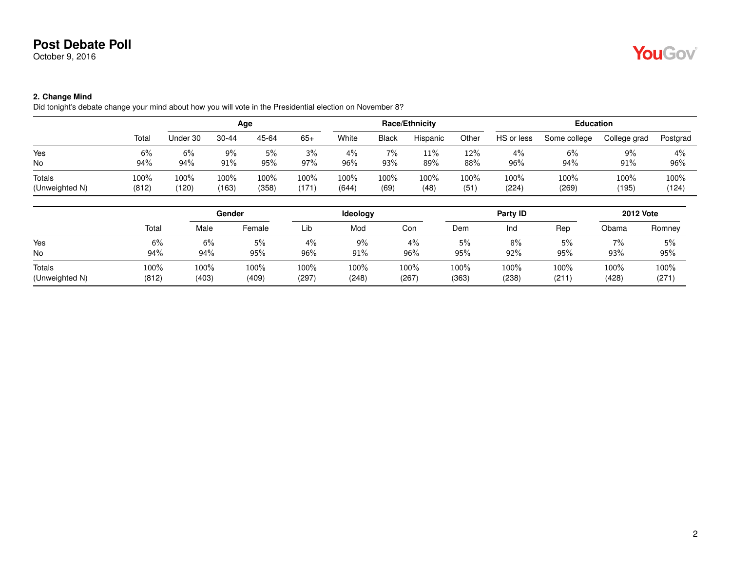October 9, 2016

# YouGov

#### **2. Change Mind**

Did tonight's debate change your mind about how you will vote in the Presidential election on November 8?

|                |         |          | Age       |       |       |       |       | <b>Race/Ethnicity</b> |       |            | <b>Education</b> |              |          |
|----------------|---------|----------|-----------|-------|-------|-------|-------|-----------------------|-------|------------|------------------|--------------|----------|
|                | Total   | Under 30 | $30 - 44$ | 45-64 | $65+$ | White | Black | Hispanic              | Other | HS or less | Some college     | College grad | Postgrad |
| Yes            | 6%      | 6%       | 9%        | 5%    | 3%    | 4%    | 7%    | 11%                   | 12%   | $4\%$      | 6%               | 9%           | 4%       |
| No             | 94%     | 94%      | 91%       | 95%   | 97%   | 96%   | 93%   | 89%                   | 88%   | 96%        | 94%              | 91%          | 96%      |
| Totals         | $100\%$ | 100%     | 100%      | 100%  | 100%  | 100%  | 100%  | 100%                  | 100%  | 100%       | 100%             | $100\%$      | 100%     |
| (Unweighted N) | (812)   | (120)    | (163)     | (358) | (171  | (644) | (69)  | (48)                  | (51)  | (224)      | (269)            | (195)        | (124)    |
|                |         |          |           |       |       |       |       |                       |       |            |                  |              |          |

|                |       |       | Gender |       | Ideology |       |       | Party ID |       |       | <b>2012 Vote</b> |
|----------------|-------|-------|--------|-------|----------|-------|-------|----------|-------|-------|------------------|
|                | Total | Male  | Female | Lib   | Mod      | Con   | Dem   | Ind      | Rep   | Obama | Romney           |
| Yes            | 6%    | 6%    | 5%     | 4%    | $9\%$    | 4%    | 5%    | 8%       | 5%    | 7%    | 5%               |
| No             | 94%   | 94%   | 95%    | 96%   | 91%      | 96%   | 95%   | 92%      | 95%   | 93%   | 95%              |
| Totals         | 100%  | 100%  | 100%   | 100%  | 100%     | 100%  | 100%  | 100%     | 100%  | 100%  | 100%             |
| (Unweighted N) | (812) | (403) | (409)  | (297) | (248)    | (267) | (363) | (238)    | (211) | (428) | (271)            |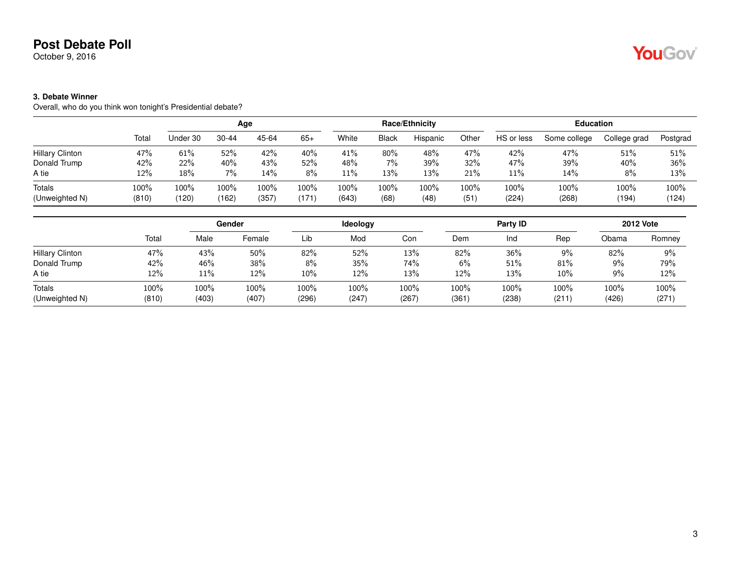October 9, 2016

#### **3. Debate Winner**

Overall, who do you think won tonight's Presidential debate?

|                        |       |          | Age       |       |       |       |              | Race/Ethnicity |       |            | <b>Education</b> |              |          |
|------------------------|-------|----------|-----------|-------|-------|-------|--------------|----------------|-------|------------|------------------|--------------|----------|
|                        | Total | Under 30 | $30 - 44$ | 45-64 | $65+$ | White | <b>Black</b> | Hispanic       | Other | HS or less | Some college     | College grad | Postgrad |
| <b>Hillary Clinton</b> | 47%   | 61%      | 52%       | 42%   | 40%   | 41%   | $80\%$       | 48%            | 47%   | 42%        | 47%              | 51%          | 51%      |
| Donald Trump           | 42%   | 22%      | 40%       | 43%   | 52%   | 48%   | 7%           | 39%            | 32%   | 47%        | 39%              | 40%          | 36%      |
| A tie                  | 12%   | 18%      | 7%        | 14%   | 8%    | 11%   | 13%          | 13%            | 21%   | 11%        | 14%              | 8%           | 13%      |
| Totals                 | 100%  | 100%     | 100%      | 100%  | 100%  | 100%  | 100%         | 100%           | 100%  | 100%       | 100%             | 100%         | 100%     |
| (Unweighted N)         | (810) | (120)    | (162)     | (357) | (171  | (643) | (68)         | (48)           | (51)  | (224)      | (268)            | (194)        | (124)    |

|                                 |               |               | Gender        |               | Ideology      |               |               | Party ID      |               |               | <b>2012 Vote</b> |
|---------------------------------|---------------|---------------|---------------|---------------|---------------|---------------|---------------|---------------|---------------|---------------|------------------|
|                                 | Total         | Male          | Female        | Lib           | Mod           | Con           | Dem           | Ind           | Rep           | Obama         | Romney           |
| <b>Hillary Clinton</b>          | 47%           | 43%           | 50%           | 82%           | 52%           | 13%           | 82%           | 36%           | 9%            | 82%           | 9%               |
| Donald Trump                    | 42%           | 46%           | 38%           | $8\%$         | 35%           | 74%           | 6%            | 51%           | 81%           | 9%            | 79%              |
| A tie                           | 12%           | 11%           | 12%           | $10\%$        | 12%           | 13%           | 12%           | 13%           | 10%           | 9%            | 12%              |
| <b>Totals</b><br>(Unweighted N) | 100%<br>(810) | 100%<br>(403) | 100%<br>(407) | 100%<br>(296) | 100%<br>(247) | 100%<br>(267) | 100%<br>(361) | 100%<br>(238) | 100%<br>(211) | 100%<br>(426) | 100%<br>(271)    |

YouGov®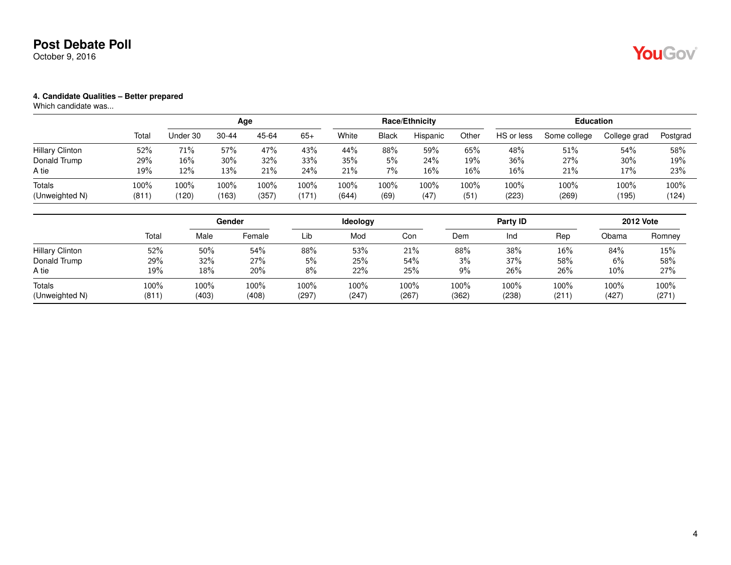October 9, 2016

#### **4. Candidate Qualities – Better prepared**

|                        |       |          | Age       |       |       |       |              | Race/Ethnicity |        |            | <b>Education</b> |              |          |
|------------------------|-------|----------|-----------|-------|-------|-------|--------------|----------------|--------|------------|------------------|--------------|----------|
|                        | Total | Under 30 | $30 - 44$ | 45-64 | $65+$ | White | <b>Black</b> | Hispanic       | Other  | HS or less | Some college     | College grad | Postgrad |
| <b>Hillary Clinton</b> | 52%   | 71%      | 57%       | 47%   | 43%   | 44%   | 88%          | 59%            | 65%    | 48%        | 51%              | 54%          | 58%      |
| Donald Trump           | 29%   | $16\%$   | 30%       | 32%   | 33%   | 35%   | 5%           | 24%            | 19%    | 36%        | 27%              | 30%          | 19%      |
| A tie                  | 19%   | 12%      | 13%       | 21%   | 24%   | 21%   | 7%           | 16%            | $16\%$ | 16%        | 21%              | 17%          | 23%      |
| Totals                 | 100%  | 100%     | 100%      | 100%  | 100%  | 100%  | 100%         | 100%           | 100%   | 100%       | 100%             | 100%         | 100%     |
| (Unweighted N)         | (811) | (120)    | (163)     | (357) | (171) | (644) | (69)         | (47)           | (51)   | (223)      | (269)            | (195)        | (124)    |

|                                 |               |               | Gender        |               | <b>Ideology</b> |               |               | Party ID      |               |               | <b>2012 Vote</b> |
|---------------------------------|---------------|---------------|---------------|---------------|-----------------|---------------|---------------|---------------|---------------|---------------|------------------|
|                                 | Total         | Male          | Female        | Lib           | Mod             | Con           | Dem           | Ind           | Rep           | Obama         | Romney           |
| <b>Hillary Clinton</b>          | 52%           | 50%           | 54%           | 88%           | 53%             | 21%           | 88%           | 38%           | 16%           | 84%           | 15%              |
| Donald Trump                    | 29%           | 32%           | 27%           | 5%            | 25%             | 54%           | 3%            | 37%           | 58%           | $6\%$         | 58%              |
| A tie                           | 19%           | 18%           | 20%           | $8\%$         | 22%             | 25%           | 9%            | 26%           | 26%           | 10%           | 27%              |
| <b>Totals</b><br>(Unweighted N) | 100%<br>(811) | 100%<br>(403) | 100%<br>(408) | 100%<br>(297) | 100%<br>(247)   | 100%<br>(267) | 100%<br>(362) | 100%<br>(238) | 100%<br>(211) | 100%<br>(427) | 100%<br>(271)    |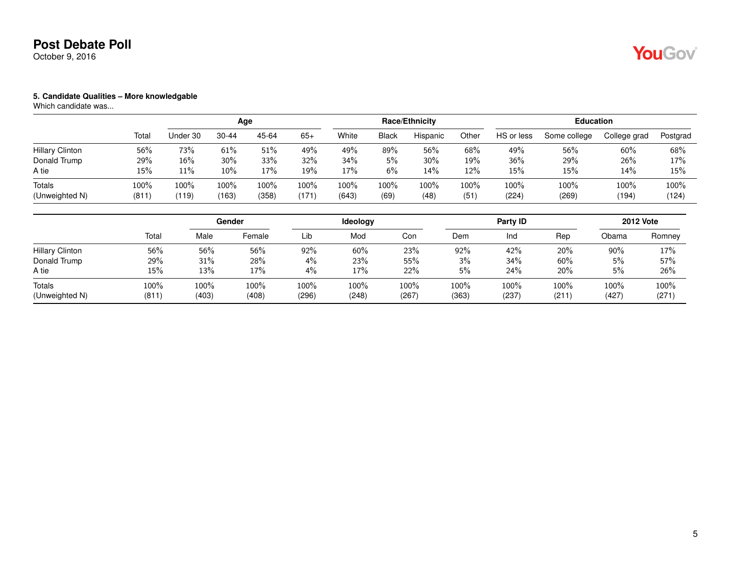October 9, 2016

# YouGov

#### **5. Candidate Qualities – More knowledgable**

|                        |       |          | Age   |        |       |       |              | Race/Ethnicity |       |            | <b>Education</b> |              |          |
|------------------------|-------|----------|-------|--------|-------|-------|--------------|----------------|-------|------------|------------------|--------------|----------|
|                        | Total | Jnder 30 | 30-44 | 45-64  | $65+$ | White | <b>Black</b> | Hispanic       | Other | HS or less | Some college     | College grad | Postgrad |
| <b>Hillary Clinton</b> | 56%   | 73%      | 61%   | $51\%$ | 49%   | 49%   | 89%          | 56%            | 68%   | 49%        | 56%              | 60%          | 68%      |
| Donald Trump           | 29%   | 16%      | 30%   | 33%    | 32%   | 34%   | 5%           | 30%            | 19%   | 36%        | 29%              | 26%          | 17%      |
| A tie                  | 15%   | 11%      | 10%   | 17%    | 19%   | 17%   | 6%           | 14%            | 12%   | 15%        | 15%              | 14%          | 15%      |
| Totals                 | 100%  | 100%     | 100%  | 100%   | 100%  | 100%  | 100%         | 100%           | 100%  | 100%       | 100%             | 100%         | 100%     |
| (Unweighted N)         | (811) | (119)    | (163) | (358)  | (171) | (643) | (69)         | (48)           | (51)  | (224)      | (269)            | (194)        | (124)    |

|                          |               |               | Gender        |               | <b>Ideology</b> |               |               | Party ID      |               |               | <b>2012 Vote</b> |
|--------------------------|---------------|---------------|---------------|---------------|-----------------|---------------|---------------|---------------|---------------|---------------|------------------|
|                          | Total         | Male          | Female        | Lib           | Mod             | Con           | Dem           | Ind           | Rep           | Obama         | Romney           |
| <b>Hillary Clinton</b>   | 56%           | 56%           | 56%           | 92%           | 60%             | 23%           | 92%           | 42%           | 20%           | 90%           | 17%              |
| Donald Trump             | 29%           | 31%           | 28%           | 4%            | 23%             | 55%           | 3%            | 34%           | 60%           | 5%            | 57%              |
| A tie                    | $15\%$        | 13%           | 17%           | 4%            | 17%             | 22%           | 5%            | 24%           | 20%           | 5%            | 26%              |
| Totals<br>(Unweighted N) | 100%<br>(811) | 100%<br>(403) | 100%<br>(408) | 100%<br>(296) | 100%<br>(248)   | 100%<br>(267) | 100%<br>(363) | 100%<br>(237) | 100%<br>(211) | 100%<br>(427) | 100%<br>(271)    |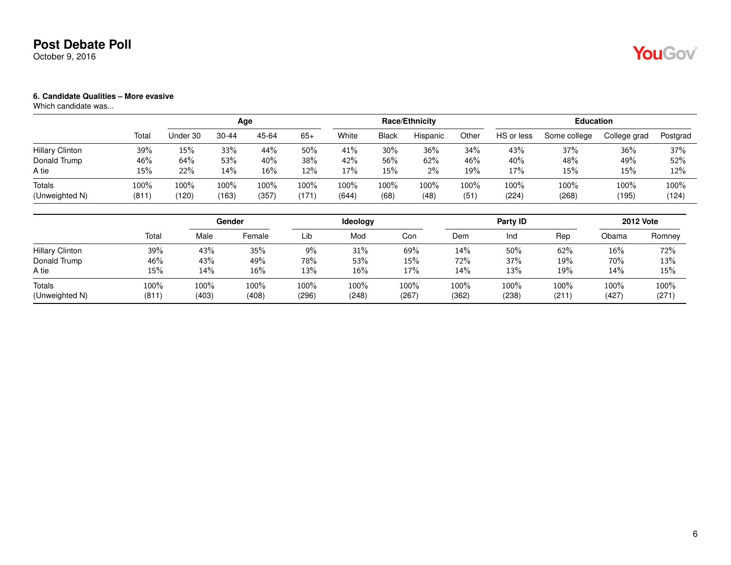October 9, 2016

#### **6. Candidate Qualities – More evasive**

|                          |               |                  | Age           |               |               |               |              | Race/Ethnicity |              |               | <b>Education</b> |               |               |
|--------------------------|---------------|------------------|---------------|---------------|---------------|---------------|--------------|----------------|--------------|---------------|------------------|---------------|---------------|
|                          | Total         | Under 30         | $30 - 44$     | 45-64         | $65+$         | White         | <b>Black</b> | Hispanic       | Other        | HS or less    | Some college     | College grad  | Postgrad      |
| <b>Hillary Clinton</b>   | 39%           | 15%              | 33%           | 44%           | 50%           | 41%           | 30%          | 36%            | 34%          | 43%           | 37%              | 36%           | 37%           |
| Donald Trump             | 46%           | 64%              | 53%           | 40%           | 38%           | 42%           | 56%          | 62%            | 46%          | 40%           | 48%              | 49%           | 52%           |
| A tie                    | 15%           | 22%              | 14%           | $16\%$        | 12%           | 17%           | 15%          | $2\%$          | 19%          | 17%           | 15%              | 15%           | 12%           |
| Totals<br>(Unweighted N) | 100%<br>(811) | $100\%$<br>(120) | 100%<br>(163) | 100%<br>(357) | 100%<br>(171) | 100%<br>(644) | 100%<br>(68) | 100%<br>(48)   | 100%<br>(51) | 100%<br>(224) | 100%<br>(268)    | 100%<br>(195) | 100%<br>(124) |

|                          |               |               | Gender        |               | <b>Ideology</b> |               |               | Party <b>ID</b> |               |               | <b>2012 Vote</b> |
|--------------------------|---------------|---------------|---------------|---------------|-----------------|---------------|---------------|-----------------|---------------|---------------|------------------|
|                          | Total         | Male          | Female        | Lib           | Mod             | Con           | Dem           | Ind             | Rep           | Obama         | Romney           |
| <b>Hillary Clinton</b>   | 39%           | 43%           | 35%           | $9\%$         | 31%             | 69%           | 14%           | 50%             | 62%           | 16%           | 72%              |
| Donald Trump             | 46%           | 43%           | 49%           | 78%           | 53%             | 15%           | 72%           | 37%             | 19%           | 70%           | 13%              |
| A tie                    | 15%           | 14%           | $16\%$        | 13%           | 16%             | 17%           | 14%           | 13%             | 19%           | 14%           | 15%              |
| Totals<br>(Unweighted N) | 100%<br>(811) | 100%<br>(403) | 100%<br>(408) | 100%<br>(296) | 100%<br>(248)   | 100%<br>(267) | 100%<br>(362) | 100%<br>(238)   | 100%<br>(211) | 100%<br>(427) | 100%<br>(271)    |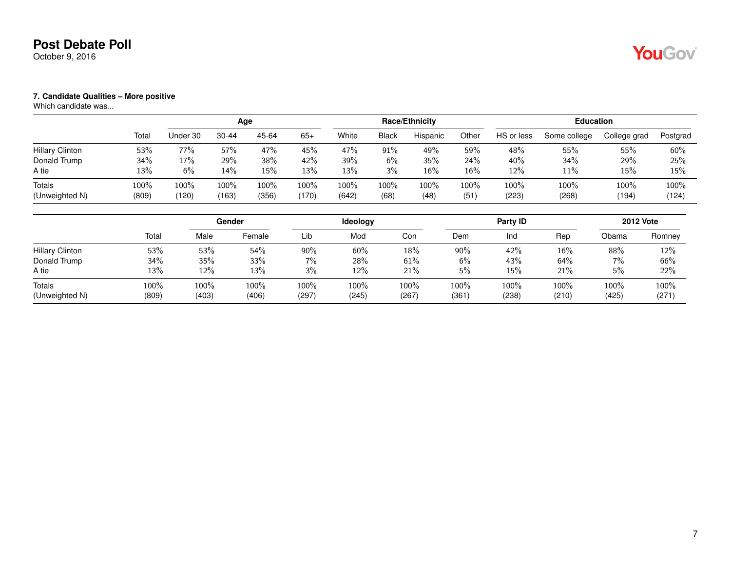October 9, 2016

#### **7. Candidate Qualities – More positive**

|                        |       |          | Age       |       |       |       |              | Race/Ethnicity |        |            | <b>Education</b> |              |          |
|------------------------|-------|----------|-----------|-------|-------|-------|--------------|----------------|--------|------------|------------------|--------------|----------|
|                        | Total | Under 30 | $30 - 44$ | 45-64 | $65+$ | White | <b>Black</b> | Hispanic       | Other  | HS or less | Some college     | College grad | Postgrad |
| <b>Hillary Clinton</b> | 53%   | 77%      | 57%       | 47%   | 45%   | 47%   | 91%          | 49%            | 59%    | 48%        | 55%              | 55%          | 60%      |
| Donald Trump           | 34%   | 17%      | 29%       | 38%   | 42%   | 39%   | 6%           | 35%            | 24%    | 40%        | 34%              | 29%          | 25%      |
| A tie                  | 13%   | 6%       | 14%       | 15%   | 13%   | 13%   | 3%           | 16%            | $16\%$ | 12%        | 11%              | 15%          | 15%      |
| Totals                 | 100%  | 100%     | 100%      | 100%  | 100%  | 100%  | 100%         | $100\%$        | 100%   | 100%       | 100%             | 100%         | 100%     |
| (Unweighted N)         | (809) | (120)    | (163)     | (356) | (170) | (642) | (68)         | (48)           | (51)   | (223)      | (268)            | (194)        | (124)    |

|                                 |               |               | Gender        |               | <b>Ideology</b> |               |               | Party ID      |               |               | <b>2012 Vote</b> |
|---------------------------------|---------------|---------------|---------------|---------------|-----------------|---------------|---------------|---------------|---------------|---------------|------------------|
|                                 | Total         | Male          | Female        | Lib           | Mod             | Con           | Dem           | Ind           | Rep           | Obama         | Romney           |
| <b>Hillary Clinton</b>          | 53%           | 53%           | 54%           | $90\%$        | 60%             | 18%           | 90%           | 42%           | 16%           | 88%           | 12%              |
| Donald Trump                    | 34%           | 35%           | 33%           | 7%            | 28%             | 61%           | 6%            | 43%           | $64\%$        | $7\%$         | 66%              |
| A tie                           | 13%           | 12%           | 13%           | 3%            | 12%             | 21%           | 5%            | 15%           | 21%           | 5%            | 22%              |
| <b>Totals</b><br>(Unweighted N) | 100%<br>(809) | 100%<br>(403) | 100%<br>(406) | 100%<br>(297) | 100%<br>(245)   | 100%<br>(267) | 100%<br>(361) | 100%<br>(238) | 100%<br>(210) | 100%<br>(425) | 100%<br>(271)    |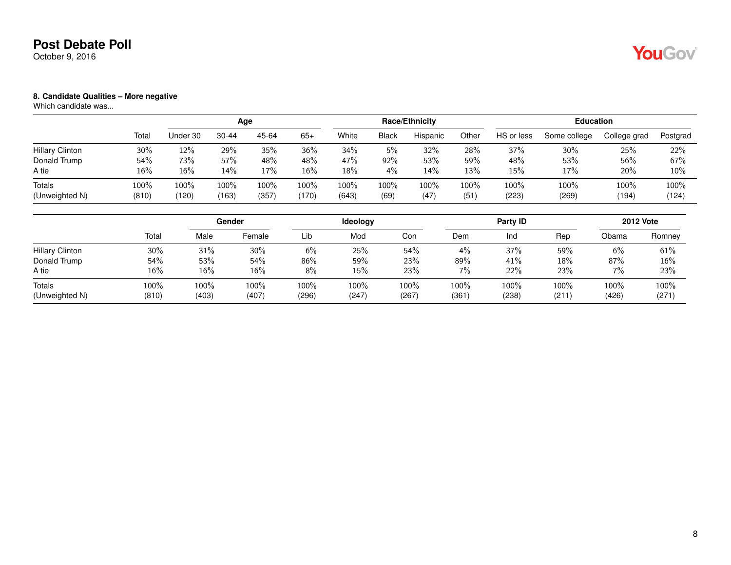October 9, 2016

#### **8. Candidate Qualities – More negative**

|                        |        |          | Age       |       |       |       |              | Race/Ethnicity |       |            | <b>Education</b> |              |          |
|------------------------|--------|----------|-----------|-------|-------|-------|--------------|----------------|-------|------------|------------------|--------------|----------|
|                        | Total  | Under 30 | $30 - 44$ | 45-64 | $65+$ | White | <b>Black</b> | Hispanic       | Other | HS or less | Some college     | College grad | Postgrad |
| <b>Hillary Clinton</b> | $30\%$ | 12%      | 29%       | 35%   | 36%   | 34%   | 5%           | 32%            | 28%   | 37%        | 30%              | 25%          | 22%      |
| Donald Trump           | 54%    | 73%      | 57%       | 48%   | 48%   | 47%   | 92%          | 53%            | 59%   | 48%        | 53%              | 56%          | 67%      |
| A tie                  | 16%    | 16%      | 14%       | 17%   | 16%   | 18%   | 4%           | 14%            | 13%   | 15%        | 17%              | 20%          | 10%      |
| Totals                 | 100%   | 100%     | 100%      | 100%  | 100%  | 100%  | 100%         | $100\%$        | 100%  | 100%       | 100%             | 100%         | 100%     |
| (Unweighted N)         | (810)  | (120)    | (163)     | (357) | (170) | (643) | (69)         | (47)           | (51)  | (223)      | (269)            | (194)        | (124)    |

|                                 |               |               | Gender        |               | <b>Ideology</b> |               |               | Party ID      |               |               | <b>2012 Vote</b> |
|---------------------------------|---------------|---------------|---------------|---------------|-----------------|---------------|---------------|---------------|---------------|---------------|------------------|
|                                 | Total         | Male          | Female        | Lib           | Mod             | Con           | Dem           | Ind           | Rep           | Obama         | Romney           |
| <b>Hillary Clinton</b>          | 30%           | 31%           | 30%           | 6%            | 25%             | 54%           | 4%            | 37%           | 59%           | 6%            | 61%              |
| Donald Trump                    | 54%           | 53%           | 54%           | 86%           | 59%             | 23%           | 89%           | 41%           | 18%           | 87%           | 16%              |
| A tie                           | 16%           | 16%           | $16\%$        | 8%            | 15%             | 23%           | 7%            | 22%           | 23%           | $7\%$         | 23%              |
| <b>Totals</b><br>(Unweighted N) | 100%<br>(810) | 100%<br>(403) | 100%<br>(407) | 100%<br>(296) | 100%<br>(247)   | 100%<br>(267) | 100%<br>(361) | 100%<br>(238) | 100%<br>(211) | 100%<br>(426) | 100%<br>(271)    |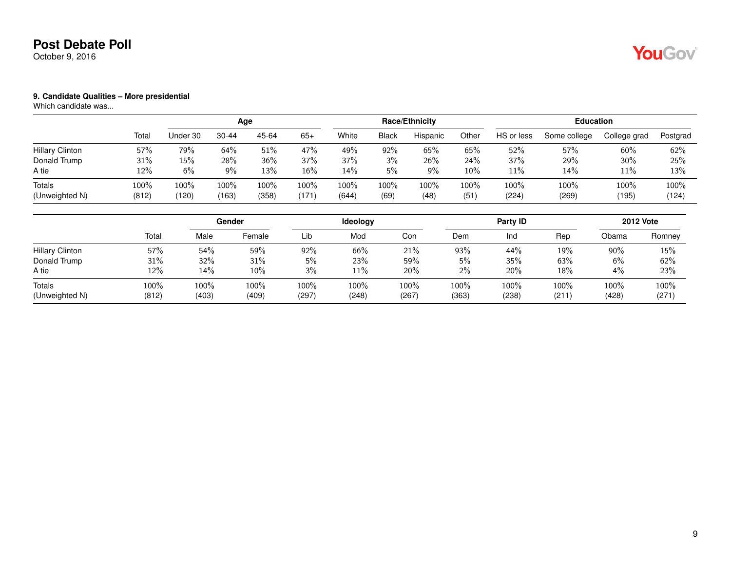October 9, 2016

# YouGov

#### **9. Candidate Qualities – More presidential**

|                        |       |          | Age   |       |       |        |              | Race/Ethnicity |       |            | <b>Education</b> |              |          |
|------------------------|-------|----------|-------|-------|-------|--------|--------------|----------------|-------|------------|------------------|--------------|----------|
|                        | Total | Jnder 30 | 30-44 | 45-64 | $65+$ | White  | <b>Black</b> | Hispanic       | Other | HS or less | Some college     | College grad | Postgrad |
| <b>Hillary Clinton</b> | 57%   | 79%      | 64%   | 51%   | 47%   | 49%    | 92%          | 65%            | 65%   | 52%        | 57%              | 60%          | 62%      |
| Donald Trump           | 31%   | 15%      | 28%   | 36%   | 37%   | 37%    | 3%           | 26%            | 24%   | 37%        | 29%              | 30%          | 25%      |
| A tie                  | 12%   | 6%       | $9\%$ | 13%   | 16%   | $14\%$ | 5%           | 9%             | 10%   | $11\%$     | $14\%$           | 11%          | 13%      |
| Totals                 | 100%  | 100%     | 100%  | 100%  | 100%  | 100%   | 100%         | 100%           | 100%  | 100%       | 100%             | 100%         | 100%     |
| (Unweighted N)         | (812) | (120)    | (163) | (358) | (171) | (644)  | (69)         | (48)           | (51)  | (224)      | (269)            | (195)        | (124)    |

|                                 |               |               | Gender        |               | <b>Ideology</b> |               |               | Party ID      |               |               | <b>2012 Vote</b> |
|---------------------------------|---------------|---------------|---------------|---------------|-----------------|---------------|---------------|---------------|---------------|---------------|------------------|
|                                 | Total         | Male          | Female        | Lib           | Mod             | Con           | Dem           | Ind           | Rep           | Obama         | Romney           |
| <b>Hillary Clinton</b>          | 57%           | 54%           | 59%           | 92%           | 66%             | 21%           | 93%           | 44%           | 19%           | $90\%$        | 15%              |
| Donald Trump                    | 31%           | 32%           | 31%           | 5%            | 23%             | 59%           | 5%            | 35%           | 63%           | 6%            | 62%              |
| A tie                           | 12%           | 14%           | 10%           | 3%            | 11%             | 20%           | 2%            | 20%           | 18%           | $4\%$         | 23%              |
| <b>Totals</b><br>(Unweighted N) | 100%<br>(812) | 100%<br>(403) | 100%<br>(409) | 100%<br>(297) | 100%<br>(248)   | 100%<br>(267) | 100%<br>(363) | 100%<br>(238) | 100%<br>(211) | 100%<br>(428) | 100%<br>(271)    |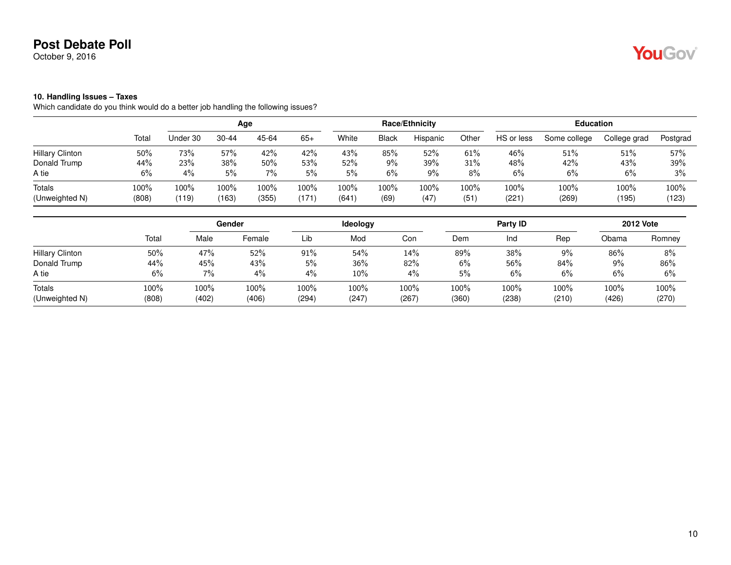October 9, 2016

#### **10. Handling Issues – Taxes**

Which candidate do you think would do a better job handling the following issues?

|                          |                  |               | Age           |               |               |               |              | Race/Ethnicity |              |               | <b>Education</b> |               |               |
|--------------------------|------------------|---------------|---------------|---------------|---------------|---------------|--------------|----------------|--------------|---------------|------------------|---------------|---------------|
|                          | Total            | Under 30      | $30 - 44$     | 45-64         | $65+$         | White         | <b>Black</b> | Hispanic       | Other        | HS or less    | Some college     | College grad  | Postgrad      |
| <b>Hillary Clinton</b>   | 50%              | 73%           | 57%           | 42%           | 42%           | 43%           | 85%          | 52%            | $61\%$       | 46%           | 51%              | 51%           | 57%           |
| Donald Trump             | 44%              | 23%           | 38%           | 50%           | 53%           | 52%           | $9\%$        | 39%            | 31%          | 48%           | 42%              | 43%           | 39%           |
| A tie                    | 6%               | 4%            | 5%            | $7\%$         | 5%            | 5%            | 6%           | 9%             | 8%           | 6%            | 6%               | 6%            | 3%            |
| Totals<br>(Unweighted N) | $100\%$<br>(808) | 100%<br>(119) | 100%<br>(163) | 100%<br>(355) | 100%<br>(171, | 100%<br>(641) | 100%<br>(69) | 100%<br>(47)   | 100%<br>(51) | 100%<br>(221) | 100%<br>(269)    | 100%<br>(195) | 100%<br>(123) |

|                        |       |       | Gender |       | Ideology |       |       | Party ID |       |       | <b>2012 Vote</b> |
|------------------------|-------|-------|--------|-------|----------|-------|-------|----------|-------|-------|------------------|
|                        | Total | Male  | Female | Lib   | Mod      | Con   | Dem   | Ind      | Rep   | Obama | Romney           |
| <b>Hillary Clinton</b> | 50%   | 47%   | 52%    | 91%   | 54%      | 14%   | 89%   | 38%      | 9%    | 86%   | 8%               |
| Donald Trump           | 44%   | 45%   | 43%    | 5%    | 36%      | 82%   | 6%    | 56%      | 84%   | 9%    | 86%              |
| A tie                  | 6%    | 7%    | 4%     | 4%    | 10%      | 4%    | 5%    | 6%       | 6%    | 6%    | 6%               |
| Totals                 | 100%  | 100%  | 100%   | 100%  | 100%     | 100%  | 100%  | 100%     | 100%  | 100%  | 100%             |
| (Unweighted N)         | (808) | (402) | (406)  | (294) | (247)    | (267) | (360) | (238)    | (210) | (426) | (270)            |

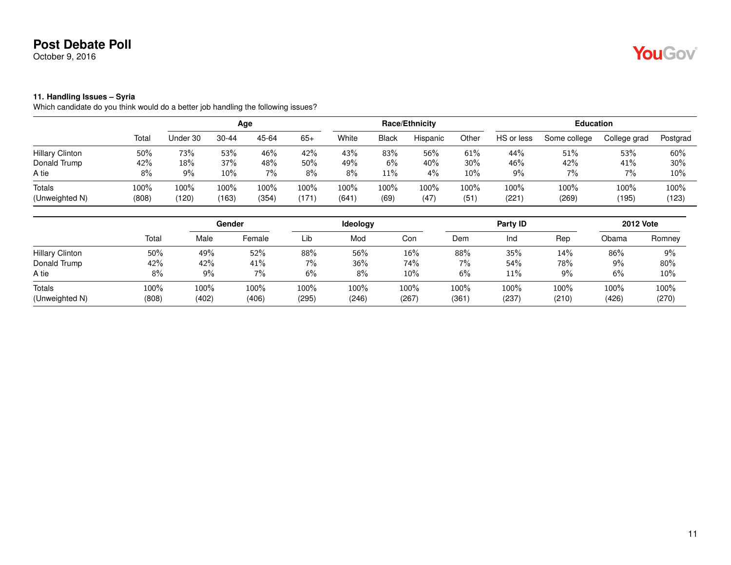October 9, 2016

#### **11. Handling Issues – Syria**

Which candidate do you think would do a better job handling the following issues?

|                                 |               |                             | Age           |               |               |               |              | Race/Ethnicity |              |                  | <b>Education</b> |                  |               |
|---------------------------------|---------------|-----------------------------|---------------|---------------|---------------|---------------|--------------|----------------|--------------|------------------|------------------|------------------|---------------|
|                                 | Total         | Under 30                    | $30 - 44$     | 45-64         | $65+$         | White         | <b>Black</b> | Hispanic       | Other        | HS or less       | Some college     | College grad     | Postgrad      |
| <b>Hillary Clinton</b>          | 50%           | 73%                         | 53%           | 46%           | 42%           | 43%           | 83%          | 56%            | 61%          | 44%              | 51%              | 53%              | 60%           |
| Donald Trump                    | 42%           | 18%                         | 37%           | 48%           | 50%           | 49%           | 6%           | 40%            | 30%          | 46%              | 42%              | 41%              | 30%           |
| A tie                           | 8%            | 9%                          | $10\%$        | $7\%$         | 8%            | 8%            | 11%          | 4%             | $10\%$       | 9%               | $7\%$            | 7%               | 10%           |
| <b>Totals</b><br>(Unweighted N) | 100%<br>(808) | $100\%$<br>$^{\prime}$ 120) | 100%<br>(163) | 100%<br>(354) | 100%<br>(171) | 100%<br>(641) | 100%<br>(69) | 100%<br>(47)   | 100%<br>(51) | $100\%$<br>(221) | 100%<br>(269)    | $100\%$<br>(195) | 100%<br>(123) |
|                                 |               |                             |               |               |               |               |              |                |              |                  |                  |                  |               |

|                        |       |       | Gender |       | Ideology |         |       | Party ID |       |       | <b>2012 Vote</b> |
|------------------------|-------|-------|--------|-------|----------|---------|-------|----------|-------|-------|------------------|
|                        | Total | Male  | Female | Lib   | Mod      | Con     | Dem   | Ind      | Rep   | Obama | Romney           |
| <b>Hillary Clinton</b> | 50%   | 49%   | 52%    | 88%   | 56%      | 16%     | 88%   | 35%      | 14%   | 86%   | 9%               |
| Donald Trump           | 42%   | 42%   | 41%    | 7%    | 36%      | 74%     | 7%    | 54%      | 78%   | $9\%$ | 80%              |
| A tie                  | 8%    | 9%    | 7%     | 6%    | 8%       | 10%     | 6%    | 11%      | $9\%$ | 6%    | 10%              |
| Totals                 | 100%  | 100%  | 100%   | 100%  | 100%     | $100\%$ | 100%  | 100%     | 100%  | 100%  | $100\%$          |
| (Unweighted N)         | (808) | (402) | (406)  | (295) | (246)    | (267)   | (361) | (237     | (210) | (426) | (270)            |

YouGov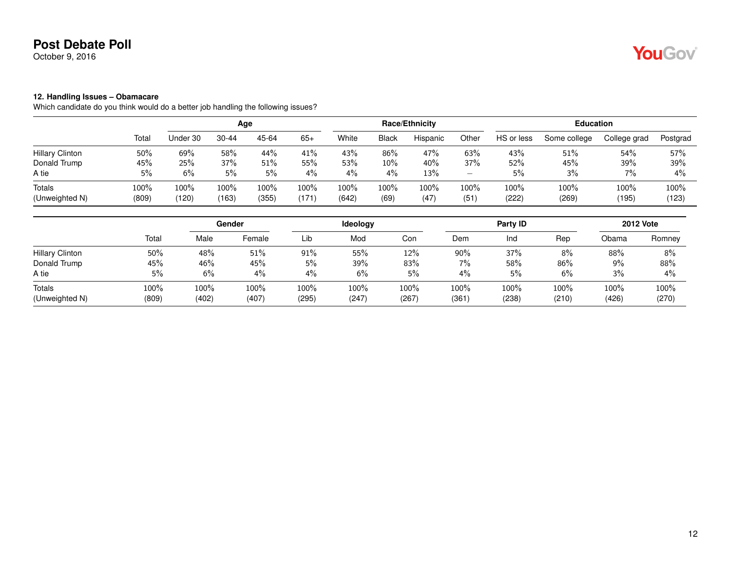October 9, 2016

# YouGov

### **12. Handling Issues – Obamacare**

Which candidate do you think would do a better job handling the following issues?

|                          |                  |               | Age           |               |              |               |              | Race/Ethnicity |              |               | <b>Education</b> |               |               |
|--------------------------|------------------|---------------|---------------|---------------|--------------|---------------|--------------|----------------|--------------|---------------|------------------|---------------|---------------|
|                          | Total            | Under 30      | $30 - 44$     | 45-64         | $65+$        | White         | <b>Black</b> | Hispanic       | Other        | HS or less    | Some college     | College grad  | Postgrad      |
| <b>Hillary Clinton</b>   | 50%              | 69%           | 58%           | 44%           | 41%          | 43%           | 86%          | 47%            | 63%          | 43%           | 51%              | 54%           | 57%           |
| Donald Trump             | 45%              | 25%           | 37%           | 51%           | 55%          | 53%           | 10%          | 40%            | 37%          | 52%           | 45%              | 39%           | 39%           |
| A tie                    | 5%               | 6%            | 5%            | 5%            | 4%           | 4%            | 4%           | 13%            | -            | 5%            | 3%               | 7%            | 4%            |
| Totals<br>(Unweighted N) | $100\%$<br>(809) | 100%<br>(120) | 100%<br>(163) | 100%<br>(355) | 100%<br>(171 | 100%<br>(642) | 100%<br>(69) | 100%<br>(47)   | 100%<br>(51) | 100%<br>(222) | 100%<br>(269)    | 100%<br>(195) | 100%<br>(123) |

|                          |               |               | Gender        |               | <b>Ideology</b> |               |               | Party ID      |               |               | <b>2012 Vote</b> |
|--------------------------|---------------|---------------|---------------|---------------|-----------------|---------------|---------------|---------------|---------------|---------------|------------------|
|                          | Total         | Male          | Female        | Lib           | Mod             | Con           | Dem           | Ind           | Rep           | Obama         | Romney           |
| <b>Hillary Clinton</b>   | 50%           | 48%           | 51%           | $91\%$        | 55%             | 12%           | 90%           | 37%           | 8%            | 88%           | 8%               |
| Donald Trump             | 45%           | 46%           | 45%           | 5%            | 39%             | 83%           | 7%            | 58%           | 86%           | 9%            | 88%              |
| A tie                    | 5%            | 6%            | 4%            | $4\%$         | 6%              | 5%            | 4%            | 5%            | 6%            | 3%            | 4%               |
| Totals<br>(Unweighted N) | 100%<br>(809) | 100%<br>(402) | 100%<br>(407) | 100%<br>(295) | 100%<br>(247)   | 100%<br>(267) | 100%<br>(361) | 100%<br>(238) | 100%<br>(210) | 100%<br>(426) | 100%<br>(270)    |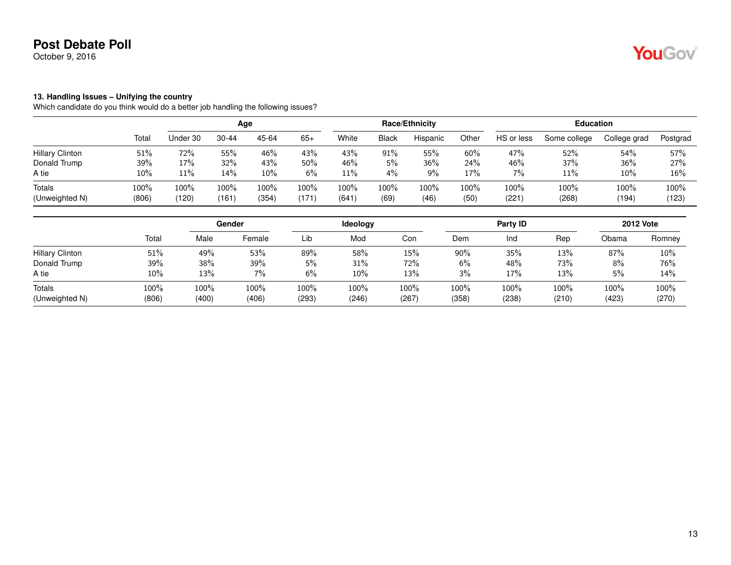October 9, 2016

# YouGov

#### **13. Handling Issues – Unifying the country**

Which candidate do you think would do a better job handling the following issues?

|       |              | Race/Ethnicity |       |            | <b>Education</b> |              |               |
|-------|--------------|----------------|-------|------------|------------------|--------------|---------------|
| White | <b>Black</b> | Hispanic       | Other | HS or less | Some college     | College grad | Postgrad      |
| 43%   | 91%          | 55%            | 60%   | 47%        | 52%              | 54%          | 57%           |
| 46%   | 5%           | 36%            | 24%   | 46%        | 37%              | 36%          | 27%           |
| 11%   | 4%           | 9%             | 17%   | 7%         | 11%              | 10%          | 16%           |
| 100%  | 100%         | $100\%$        | 100%  | 100%       | 100%             | 100%         | 100%<br>(123) |
|       | (641)        | (69)           | (46)  | (50)       | (221)            | (268)        | (194)         |

|                          |               |               | Gender        |               | Ideology      |               |               | Party ID      |               |               | <b>2012 Vote</b> |
|--------------------------|---------------|---------------|---------------|---------------|---------------|---------------|---------------|---------------|---------------|---------------|------------------|
|                          | Total         | Male          | Female        | Lib           | Mod           | Con           | Dem           | Ind           | Rep           | Obama         | Romney           |
| <b>Hillary Clinton</b>   | 51%           | 49%           | 53%           | 89%           | 58%           | 15%           | 90%           | 35%           | 13%           | 87%           | 10%              |
| Donald Trump             | 39%           | 38%           | 39%           | 5%            | 31%           | 72%           | 6%            | 48%           | 73%           | 8%            | 76%              |
| A tie                    | 10%           | 13%           | $7\%$         | 6%            | 10%           | 13%           | 3%            | 17%           | 13%           | 5%            | 14%              |
| Totals<br>(Unweighted N) | 100%<br>(806) | 100%<br>(400) | 100%<br>(406) | 100%<br>(293) | 100%<br>(246) | 100%<br>(267) | 100%<br>(358) | 100%<br>(238) | 100%<br>(210) | 100%<br>(423) | 100%<br>(270)    |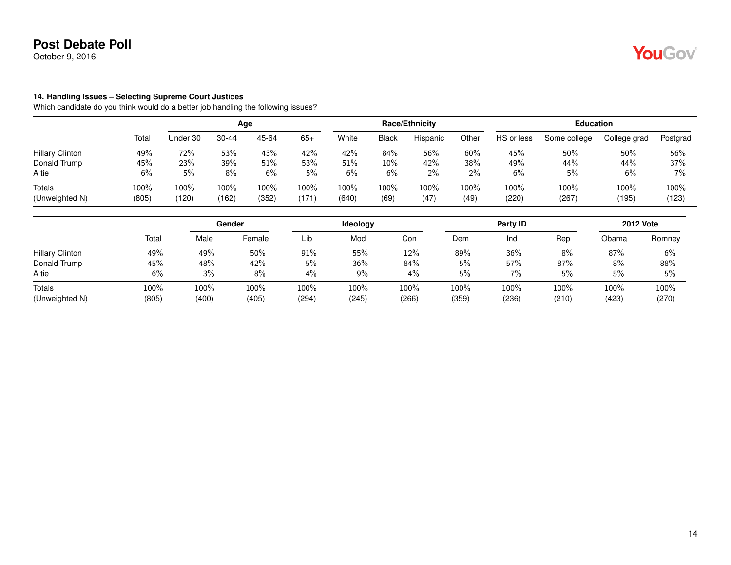October 9, 2016

#### **14. Handling Issues – Selecting Supreme Court Justices**

Which candidate do you think would do a better job handling the following issues?

|                        |         |          | Age       |       |       |       |       | <b>Race/Ethnicity</b> |       |            | <b>Education</b> |              |          |
|------------------------|---------|----------|-----------|-------|-------|-------|-------|-----------------------|-------|------------|------------------|--------------|----------|
|                        | Total   | Under 30 | $30 - 44$ | 45-64 | $65+$ | White | Black | Hispanic              | Other | HS or less | Some college     | College grad | Postgrad |
| <b>Hillary Clinton</b> | 49%     | 72%      | 53%       | 43%   | 42%   | 42%   | 84%   | 56%                   | 60%   | 45%        | 50%              | 50%          | 56%      |
| Donald Trump           | 45%     | 23%      | 39%       | 51%   | 53%   | 51%   | 10%   | 42%                   | 38%   | 49%        | 44%              | 44%          | 37%      |
| A tie                  | 6%      | 5%       | 8%        | 6%    | 5%    | 6%    | $6\%$ | $2\%$                 | 2%    | 6%         | 5%               | 6%           | $7\%$    |
| Totals                 | $100\%$ | 100%     | 100%      | 100%  | 100%  | 100%  | 100%  | $100\%$               | 100%  | 100%       | 100%             | 100%         | 100%     |
| (Unweighted N)         | (805)   | (120)    | (162)     | (352) | (171  | (640) | (69)  | (47)                  | (49)  | (220)      | (267)            | (195)        | (123)    |

|                          |               |               | <b>Gender</b> |               | Ideology      |               |               | Party ID      |               |               | <b>2012 Vote</b> |
|--------------------------|---------------|---------------|---------------|---------------|---------------|---------------|---------------|---------------|---------------|---------------|------------------|
|                          | Total         | Male          | Female        | Lib           | Mod           | Con           | Dem           | Ind           | Rep           | Obama         | Romney           |
| <b>Hillary Clinton</b>   | 49%           | 49%           | 50%           | $91\%$        | 55%           | 12%           | 89%           | 36%           | 8%            | 87%           | 6%               |
| Donald Trump             | 45%           | 48%           | 42%           | 5%            | 36%           | 84%           | 5%            | 57%           | 87%           | 8%            | 88%              |
| A tie                    | 6%            | 3%            | 8%            | 4%            | 9%            | 4%            | 5%            | 7%            | 5%            | 5%            | 5%               |
| Totals<br>(Unweighted N) | 100%<br>(805) | 100%<br>(400) | 100%<br>(405) | 100%<br>(294) | 100%<br>(245) | 100%<br>(266) | 100%<br>(359) | 100%<br>(236) | 100%<br>(210) | 100%<br>(423) | 100%<br>(270)    |

YouGov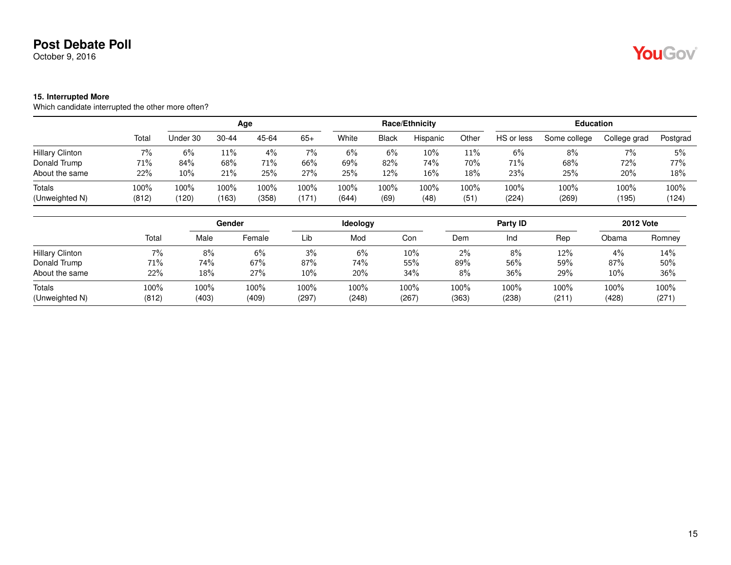October 9, 2016

#### **15. Interrupted More**

Which candidate interrupted the other more often?

|                          |                  |                  | Age           |               |               |               |              | Race/Ethnicity |              |               | <b>Education</b> |               |               |
|--------------------------|------------------|------------------|---------------|---------------|---------------|---------------|--------------|----------------|--------------|---------------|------------------|---------------|---------------|
|                          | Total            | Under 30         | 30-44         | 45-64         | $65+$         | White         | Black        | Hispanic       | Other        | HS or less    | Some college     | College grad  | Postgrad      |
| <b>Hillary Clinton</b>   | $7\%$            | 6%               | 11%           | $4\%$         | 7%            | 6%            | 6%           | $10\%$         | 11%          | 6%            | 8%               | $7\%$         | 5%            |
| Donald Trump             | 71%              | 84%              | 68%           | 71%           | 66%           | 69%           | 82%          | 74%            | 70%          | 71%           | 68%              | 72%           | 77%           |
| About the same           | 22%              | $10\%$           | 21%           | 25%           | 27%           | 25%           | 12%          | 16%            | 18%          | 23%           | 25%              | 20%           | 18%           |
| Totals<br>(Unweighted N) | $100\%$<br>(812) | $100\%$<br>(120) | 100%<br>(163) | 100%<br>(358) | 100%<br>(171) | 100%<br>(644) | 100%<br>(69) | 100%<br>(48)   | 100%<br>(51) | 100%<br>(224) | 100%<br>(269)    | 100%<br>(195) | 100%<br>(124) |

|                          |               |               | Gender        |               | Ideology      |               |               | Party ID      |               |               | <b>2012 Vote</b> |
|--------------------------|---------------|---------------|---------------|---------------|---------------|---------------|---------------|---------------|---------------|---------------|------------------|
|                          | Total         | Male          | Female        | Lib           | Mod           | Con           | Dem           | Ind           | Rep           | Obama         | Romney           |
| <b>Hillary Clinton</b>   | 7%            | 8%            | 6%            | 3%            | 6%            | $10\%$        | $2\%$         | 8%            | 12%           | 4%            | 14%              |
| Donald Trump             | 71%           | 74%           | 67%           | 87%           | 74%           | 55%           | 89%           | 56%           | 59%           | 87%           | 50%              |
| About the same           | 22%           | 18%           | 27%           | $10\%$        | 20%           | 34%           | 8%            | 36%           | 29%           | 10%           | 36%              |
| Totals<br>(Unweighted N) | 100%<br>(812) | 100%<br>(403) | 100%<br>(409) | 100%<br>(297) | 100%<br>(248) | 100%<br>(267) | 100%<br>(363) | 100%<br>(238) | 100%<br>(211) | 100%<br>(428) | 100%<br>(271)    |

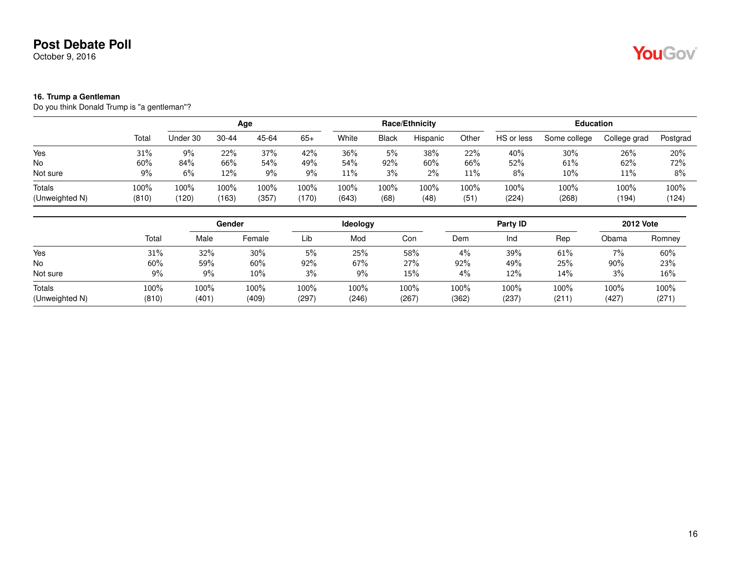October 9, 2016

#### **16. Trump a Gentleman**

Do you think Donald Trump is "a gentleman"?

|                          |                  |               | Age           |               |               |               |              | Race/Ethnicity |              |               | <b>Education</b> |                  |               |
|--------------------------|------------------|---------------|---------------|---------------|---------------|---------------|--------------|----------------|--------------|---------------|------------------|------------------|---------------|
|                          | Total            | Under 30      | $30 - 44$     | 45-64         | $65+$         | White         | <b>Black</b> | Hispanic       | Other        | HS or less    | Some college     | College grad     | Postgrad      |
| Yes                      | 31%              | 9%            | 22%           | 37%           | 42%           | 36%           | 5%           | 38%            | 22%          | 40%           | $30\%$           | 26%              | 20%           |
| <b>No</b>                | 60%              | 84%           | 66%           | 54%           | 49%           | 54%           | 92%          | 60%            | 66%          | 52%           | 61%              | 62%              | 72%           |
| Not sure                 | 9%               | 6%            | 12%           | $9\%$         | 9%            | 11%           | 3%           | $2\%$          | 11%          | 8%            | $10\%$           | 11%              | 8%            |
| Totals<br>(Unweighted N) | $100\%$<br>(810) | 100%<br>(120) | 100%<br>(163) | 100%<br>(357) | 100%<br>(170) | 100%<br>(643) | 100%<br>(68) | 100%<br>(48)   | 100%<br>(51) | 100%<br>(224) | 100%<br>(268)    | $100\%$<br>(194) | 100%<br>(124) |

|                          |               |               | Gender        |               | Ideology      |               |               | Party ID         |               |               | <b>2012 Vote</b> |
|--------------------------|---------------|---------------|---------------|---------------|---------------|---------------|---------------|------------------|---------------|---------------|------------------|
|                          | Total         | Male          | Female        | Lib           | Mod           | Con           | Dem           | Ind              | Rep           | Obama         | Romney           |
| Yes                      | 31%           | 32%           | 30%           | 5%            | 25%           | 58%           | 4%            | 39%              | 61%           | 7%            | 60%              |
| No                       | $60\%$        | 59%           | 60%           | 92%           | 67%           | 27%           | 92%           | 49%              | 25%           | 90%           | 23%              |
| Not sure                 | 9%            | $9\%$         | 10%           | 3%            | $9\%$         | 15%           | 4%            | 12%              | 14%           | 3%            | 16%              |
| Totals<br>(Unweighted N) | 100%<br>(810) | 100%<br>(401) | 100%<br>(409) | 100%<br>(297) | 100%<br>(246) | 100%<br>(267) | 100%<br>(362) | $100\%$<br>(237) | 100%<br>(211) | 100%<br>(427) | 100%<br>(271)    |

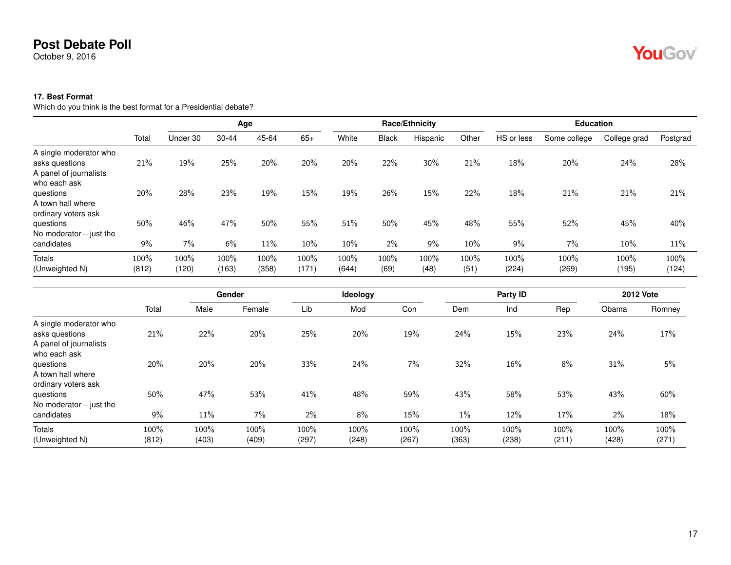October 9, 2016

#### **17. Best Format**

Which do you think is the best format for a Presidential debate?

|                                                                    |               |               | Age           |               |               |               |              | Race/Ethnicity |              |               | <b>Education</b> |               |               |
|--------------------------------------------------------------------|---------------|---------------|---------------|---------------|---------------|---------------|--------------|----------------|--------------|---------------|------------------|---------------|---------------|
|                                                                    | Total         | Under 30      | $30 - 44$     | 45-64         | $65+$         | White         | <b>Black</b> | Hispanic       | Other        | HS or less    | Some college     | College grad  | Postgrad      |
| A single moderator who<br>asks questions<br>A panel of journalists | 21%           | 19%           | 25%           | 20%           | 20%           | 20%           | 22%          | 30%            | 21%          | 18%           | 20%              | 24%           | 28%           |
| who each ask<br>questions<br>A town hall where                     | 20%           | 28%           | 23%           | 19%           | 15%           | 19%           | 26%          | 15%            | 22%          | 18%           | 21%              | 21%           | 21%           |
| ordinary voters ask<br>questions<br>No moderator $-$ just the      | 50%           | 46%           | 47%           | 50%           | 55%           | 51%           | 50%          | 45%            | 48%          | 55%           | 52%              | 45%           | 40%           |
| candidates                                                         | 9%            | 7%            | 6%            | 11%           | 10%           | $10\%$        | 2%           | 9%             | 10%          | 9%            | 7%               | 10%           | 11%           |
| <b>Totals</b><br>(Unweighted N)                                    | 100%<br>(812) | 100%<br>(120) | 100%<br>(163) | 100%<br>(358) | 100%<br>(171) | 100%<br>(644) | 100%<br>(69) | 100%<br>(48)   | 100%<br>(51) | 100%<br>(224) | 100%<br>(269)    | 100%<br>(195) | 100%<br>(124) |

|                           |       |       | Gender |       | Ideology |       |       | Party ID |       |       | <b>2012 Vote</b> |
|---------------------------|-------|-------|--------|-------|----------|-------|-------|----------|-------|-------|------------------|
|                           | Total | Male  | Female | Lib   | Mod      | Con   | Dem   | Ind      | Rep   | Obama | Romney           |
| A single moderator who    |       |       |        |       |          |       |       |          |       |       |                  |
| asks questions            | 21%   | 22%   | 20%    | 25%   | 20%      | 19%   | 24%   | 15%      | 23%   | 24%   | 17%              |
| A panel of journalists    |       |       |        |       |          |       |       |          |       |       |                  |
| who each ask              |       |       |        |       |          |       |       |          |       |       |                  |
| questions                 | 20%   | 20%   | 20%    | 33%   | 24%      | 7%    | 32%   | 16%      | 8%    | 31%   | 5%               |
| A town hall where         |       |       |        |       |          |       |       |          |       |       |                  |
| ordinary voters ask       |       |       |        |       |          |       |       |          |       |       |                  |
| questions                 | 50%   | 47%   | 53%    | 41%   | 48%      | 59%   | 43%   | 58%      | 53%   | 43%   | 60%              |
| No moderator $-$ just the |       |       |        |       |          |       |       |          |       |       |                  |
| candidates                | 9%    | 11%   | 7%     | 2%    | 8%       | 15%   | $1\%$ | 12%      | 17%   | 2%    | 18%              |
| <b>Totals</b>             | 100%  | 100%  | 100%   | 100%  | 100%     | 100%  | 100%  | 100%     | 100%  | 100%  | 100%             |
| (Unweighted N)            | (812) | (403) | (409)  | (297) | (248)    | (267) | (363) | (238)    | (211) | (428) | (271)            |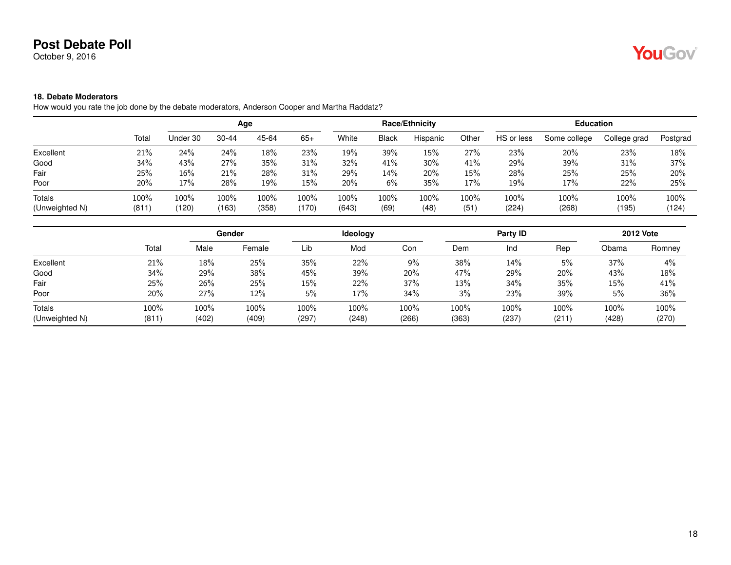October 9, 2016

# YouGov®

#### **18. Debate Moderators**

How would you rate the job done by the debate moderators, Anderson Cooper and Martha Raddatz?

|                |       |          | Age   |       |       |       |              | Race/Ethnicity |       |            | <b>Education</b> |              |          |
|----------------|-------|----------|-------|-------|-------|-------|--------------|----------------|-------|------------|------------------|--------------|----------|
|                | Total | Under 30 | 30-44 | 45-64 | $65+$ | White | <b>Black</b> | Hispanic       | Other | HS or less | Some college     | College grad | Postgrad |
| Excellent      | 21%   | 24%      | 24%   | 18%   | 23%   | 19%   | 39%          | 15%            | 27%   | 23%        | 20%              | 23%          | 18%      |
| Good           | 34%   | 43%      | 27%   | 35%   | 31%   | 32%   | 41%          | $30\%$         | 41%   | 29%        | 39%              | 31%          | 37%      |
| Fair           | 25%   | 16%      | 21%   | 28%   | 31%   | 29%   | 14%          | 20%            | 15%   | 28%        | 25%              | 25%          | 20%      |
| Poor           | 20%   | 17%      | 28%   | 19%   | 15%   | 20%   | 6%           | 35%            | 17%   | 19%        | 17%              | 22%          | 25%      |
| Totals         | 100%  | 100%     | 100%  | 100%  | 100%  | 100%  | 100%         | 100%           | 100%  | 100%       | 100%             | 100%         | 100%     |
| (Unweighted N) | (811) | (120)    | (163) | (358) | (170) | (643) | (69)         | (48)           | (51)  | (224)      | (268)            | (195)        | (124)    |

|                |       |       | Gender |         | Ideology |       |       | Party ID |       |       | <b>2012 Vote</b> |
|----------------|-------|-------|--------|---------|----------|-------|-------|----------|-------|-------|------------------|
|                | Total | Male  | Female | Lib     | Mod      | Con   | Dem   | Ind      | Rep   | Obama | Romney           |
| Excellent      | 21%   | 18%   | 25%    | 35%     | 22%      | 9%    | 38%   | 14%      | 5%    | 37%   | 4%               |
| Good           | 34%   | 29%   | 38%    | 45%     | 39%      | 20%   | 47%   | 29%      | 20%   | 43%   | 18%              |
| Fair           | 25%   | 26%   | 25%    | 15%     | 22%      | 37%   | 13%   | 34%      | 35%   | 15%   | 41%              |
| Poor           | 20%   | 27%   | 12%    | 5%      | 17%      | 34%   | 3%    | 23%      | 39%   | 5%    | 36%              |
| <b>Totals</b>  | 100%  | 100%  | 100%   | $100\%$ | 100%     | 100%  | 100%  | 100%     | 100%  | 100%  | 100%             |
| (Unweighted N) | (811) | (402) | (409)  | (297)   | (248)    | (266) | (363) | (237)    | (211) | (428) | (270)            |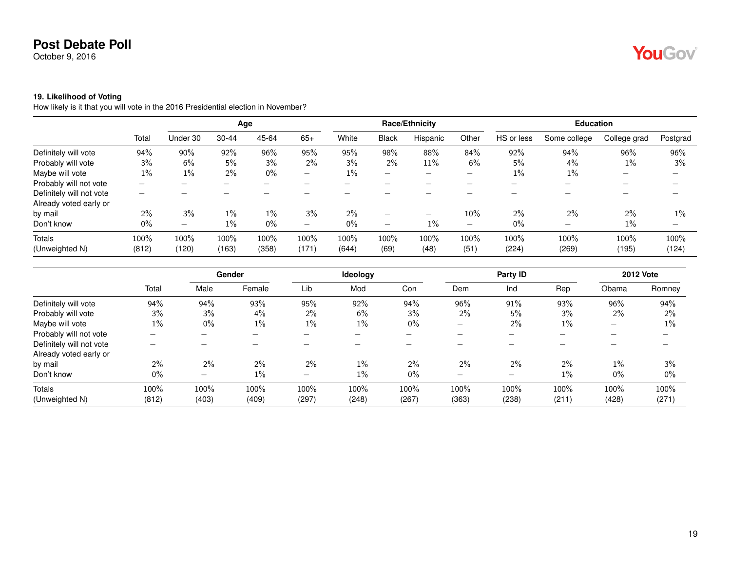October 9, 2016

#### **19. Likelihood of Voting**

How likely is it that you will vote in the 2016 Presidential election in November?

|                                                    |                          | Age                      |               |               |               |               |                                | Race/Ethnicity           |                          | <b>Education</b> |                          |                          |                          |  |
|----------------------------------------------------|--------------------------|--------------------------|---------------|---------------|---------------|---------------|--------------------------------|--------------------------|--------------------------|------------------|--------------------------|--------------------------|--------------------------|--|
|                                                    | Total                    | Under 30                 | $30 - 44$     | 45-64         | $65+$         | White         | <b>Black</b>                   | Hispanic                 | Other                    | HS or less       | Some college             | College grad             | Postgrad                 |  |
| Definitely will vote                               | 94%                      | 90%                      | 92%           | 96%           | 95%           | 95%           | 98%                            | 88%                      | 84%                      | 92%              | 94%                      | 96%                      | 96%                      |  |
| Probably will vote                                 | 3%                       | 6%                       | 5%            | 3%            | 2%            | 3%            | 2%                             | 11%                      | 6%                       | 5%               | $4\%$                    | 1%                       | 3%                       |  |
| Maybe will vote                                    | $1\%$                    | $1\%$                    | 2%            | $0\%$         |               | $1\%$         | $\qquad \qquad \longleftarrow$ |                          |                          | $1\%$            | $1\%$                    | $\overline{\phantom{0}}$ | $\overline{\phantom{0}}$ |  |
| Probably will not vote                             | $\overline{\phantom{a}}$ | $\overline{\phantom{0}}$ | -             | -             | -             | -             |                                | $\overline{\phantom{a}}$ | –                        | -                | $\overline{\phantom{0}}$ | -                        | -                        |  |
| Definitely will not vote<br>Already voted early or |                          |                          |               |               |               |               |                                |                          |                          |                  |                          |                          |                          |  |
| by mail                                            | $2\%$                    | 3%                       | $1\%$         | $1\%$         | 3%            | $2\%$         | -                              | $\overline{\phantom{0}}$ | 10%                      | $2\%$            | $2\%$                    | $2\%$                    | $1\%$                    |  |
| Don't know                                         | $0\%$                    | $\overline{\phantom{a}}$ | $1\%$         | 0%            |               | $0\%$         | -                              | $1\%$                    | $\overline{\phantom{0}}$ | $0\%$            | $\overline{\phantom{0}}$ | 1%                       |                          |  |
| <b>Totals</b><br>(Unweighted N)                    | 100%<br>(812)            | 100%<br>(120)            | 100%<br>(163) | 100%<br>(358) | 100%<br>(171) | 100%<br>(644) | 100%<br>(69)                   | 100%<br>(48)             | 100%<br>(51)             | 100%             | 100%<br>(269)            | 100%<br>(195)            | 100%<br>(124)            |  |
|                                                    |                          |                          |               |               |               |               |                                |                          |                          | (224)            |                          |                          |                          |  |

|                          |       |                          | Gender |                                | Ideology |       |                          | Party ID |                          |                          | <b>2012 Vote</b> |
|--------------------------|-------|--------------------------|--------|--------------------------------|----------|-------|--------------------------|----------|--------------------------|--------------------------|------------------|
|                          | Total | Male                     | Female | Lib                            | Mod      | Con   | Dem                      | Ind      | Rep                      | Obama                    | Romney           |
| Definitely will vote     | 94%   | 94%                      | 93%    | 95%                            | 92%      | 94%   | 96%                      | 91%      | 93%                      | 96%                      | 94%              |
| Probably will vote       | 3%    | 3%                       | 4%     | 2%                             | 6%       | 3%    | 2%                       | 5%       | 3%                       | 2%                       | $2\%$            |
| Maybe will vote          | $1\%$ | 0%                       | $1\%$  | $1\%$                          | 1%       | $0\%$ | $\overline{\phantom{0}}$ | $2\%$    | $1\%$                    | $\overline{\phantom{0}}$ | $1\%$            |
| Probably will not vote   | -     |                          | -      | $\overline{\phantom{0}}$       | -        | -     |                          |          | $\overline{\phantom{a}}$ | -                        | -                |
| Definitely will not vote |       |                          |        |                                |          |       |                          |          |                          |                          |                  |
| Already voted early or   |       |                          |        |                                |          |       |                          |          |                          |                          |                  |
| by mail                  | $2\%$ | 2%                       | 2%     | 2%                             | 1%       | 2%    | $2\%$                    | $2\%$    | $2\%$                    | $1\%$                    | 3%               |
| Don't know               | $0\%$ | $\overline{\phantom{0}}$ | $1\%$  | $\qquad \qquad \longleftarrow$ | $1\%$    | $0\%$ | -                        |          | $1\%$                    | $0\%$                    | $0\%$            |
| Totals                   | 100%  | 100%                     | 100%   | 100%                           | 100%     | 100%  | 100%                     | 100%     | 100%                     | 100%                     | 100%             |
| (Unweighted N)           | (812) | (403)                    | (409)  | (297)                          | (248)    | (267) | (363)                    | (238)    | (211)                    | (428)                    | (271)            |

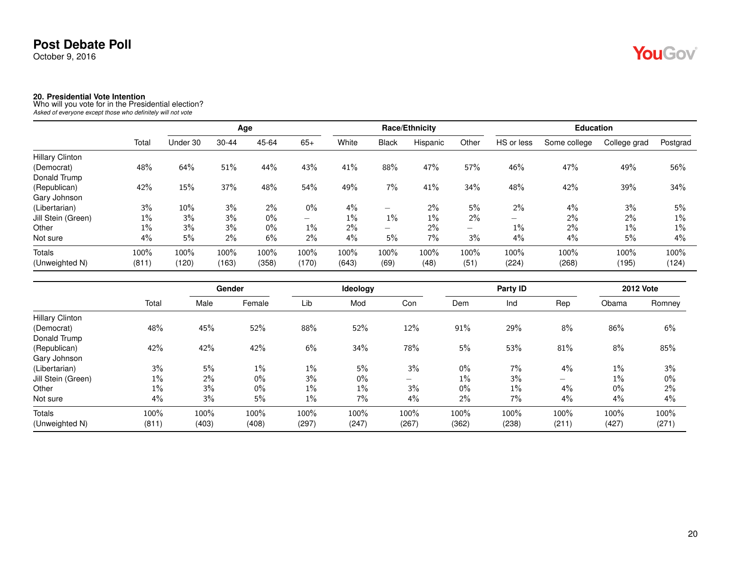October 9, 2016

**20. Presidential Vote Intention** Who will you vote for in the Presidential election? *Asked of everyone except those who definitely will not vote*

|                        |       |          | Age       |       |                          |       | Race/Ethnicity           |          |       |                          | <b>Education</b> |              |          |  |
|------------------------|-------|----------|-----------|-------|--------------------------|-------|--------------------------|----------|-------|--------------------------|------------------|--------------|----------|--|
|                        | Total | Under 30 | $30 - 44$ | 45-64 | $65+$                    | White | <b>Black</b>             | Hispanic | Other | HS or less               | Some college     | College grad | Postgrad |  |
| <b>Hillary Clinton</b> |       |          |           |       |                          |       |                          |          |       |                          |                  |              |          |  |
| (Democrat)             | 48%   | 64%      | 51%       | 44%   | 43%                      | 41%   | 88%                      | 47%      | 57%   | 46%                      | 47%              | 49%          | 56%      |  |
| Donald Trump           |       |          |           |       |                          |       |                          |          |       |                          |                  |              |          |  |
| (Republican)           | 42%   | 15%      | 37%       | 48%   | 54%                      | 49%   | 7%                       | 41%      | 34%   | 48%                      | 42%              | 39%          | 34%      |  |
| Gary Johnson           |       |          |           |       |                          |       |                          |          |       |                          |                  |              |          |  |
| (Libertarian)          | 3%    | 10%      | 3%        | 2%    | $0\%$                    | 4%    | $\overline{\phantom{0}}$ | 2%       | 5%    | 2%                       | 4%               | 3%           | 5%       |  |
| Jill Stein (Green)     | $1\%$ | 3%       | 3%        | $0\%$ | $\overline{\phantom{0}}$ | 1%    | 1%                       | $1\%$    | 2%    | $\overline{\phantom{0}}$ | $2\%$            | $2\%$        | $1\%$    |  |
| Other                  | $1\%$ | 3%       | 3%        | $0\%$ | $1\%$                    | $2\%$ | $\overline{\phantom{0}}$ | 2%       |       | $1\%$                    | $2\%$            | $1\%$        | $1\%$    |  |
| Not sure               | 4%    | 5%       | $2\%$     | 6%    | 2%                       | 4%    | 5%                       | 7%       | 3%    | 4%                       | 4%               | 5%           | 4%       |  |
| <b>Totals</b>          | 100%  | 100%     | 100%      | 100%  | 100%                     | 100%  | 100%                     | $100\%$  | 100%  | 100%                     | 100%             | 100%         | 100%     |  |
| (Unweighted N)         | (811) | (120)    | (163)     | (358) | (170)                    | (643) | (69)                     | (48)     | (51)  | (224)                    | (268)            | (195)        | (124)    |  |

|                        |       |       | Gender |       | Ideology |       |       | Party ID |                          |       | <b>2012 Vote</b> |
|------------------------|-------|-------|--------|-------|----------|-------|-------|----------|--------------------------|-------|------------------|
|                        | Total | Male  | Female | Lib   | Mod      | Con   | Dem   | Ind      | Rep                      | Obama | Romney           |
| <b>Hillary Clinton</b> |       |       |        |       |          |       |       |          |                          |       |                  |
| (Democrat)             | 48%   | 45%   | 52%    | 88%   | 52%      | 12%   | 91%   | 29%      | 8%                       | 86%   | 6%               |
| Donald Trump           |       |       |        |       |          |       |       |          |                          |       |                  |
| (Republican)           | 42%   | 42%   | 42%    | 6%    | 34%      | 78%   | 5%    | 53%      | 81%                      | 8%    | 85%              |
| Gary Johnson           |       |       |        |       |          |       |       |          |                          |       |                  |
| (Libertarian)          | 3%    | 5%    | $1\%$  | $1\%$ | 5%       | 3%    | $0\%$ | $7\%$    | 4%                       | $1\%$ | 3%               |
| Jill Stein (Green)     | $1\%$ | 2%    | $0\%$  | 3%    | 0%       | $-$   | $1\%$ | 3%       | $\overline{\phantom{0}}$ | $1\%$ | $0\%$            |
| Other                  | $1\%$ | 3%    | $0\%$  | $1\%$ | $1\%$    | 3%    | $0\%$ | $1\%$    | 4%                       | $0\%$ | $2\%$            |
| Not sure               | 4%    | 3%    | 5%     | $1\%$ | 7%       | 4%    | $2\%$ | 7%       | 4%                       | 4%    | 4%               |
| <b>Totals</b>          | 100%  | 100%  | 100%   | 100%  | 100%     | 100%  | 100%  | 100%     | 100%                     | 100%  | 100%             |
| (Unweighted N)         | (811) | (403) | (408)  | (297) | (247)    | (267) | (362) | (238)    | (211)                    | (427) | (271)            |

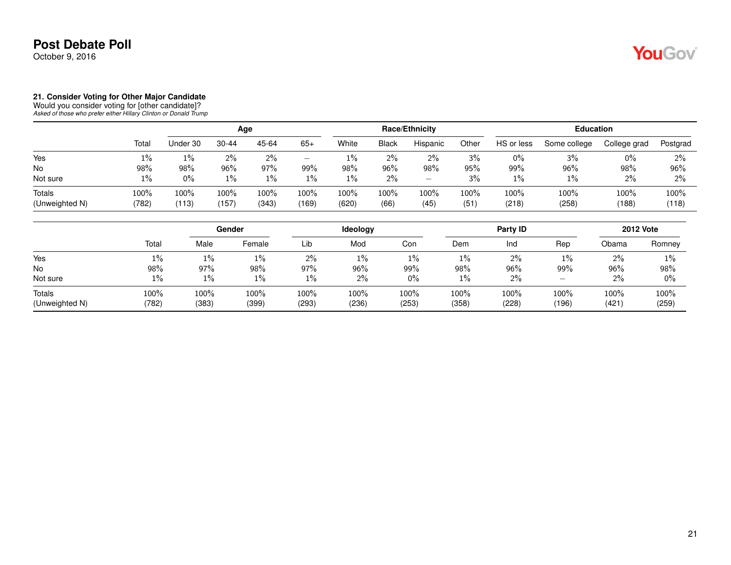October 9, 2016

#### **21. Consider Voting for Other Major Candidate**

Would you consider voting for [other candidate]? *Asked of those who prefer either Hillary Clinton or Donald Trump*

|                          |               | Age              |               |               |                  |               |              | Race/Ethnicity    |                 | <b>Education</b> |               |               |               |  |
|--------------------------|---------------|------------------|---------------|---------------|------------------|---------------|--------------|-------------------|-----------------|------------------|---------------|---------------|---------------|--|
|                          | Total         | Under 30         | $30 - 44$     | 45-64         | $65+$            | White         | <b>Black</b> | Hispanic          | Other           | HS or less       | Some college  | College grad  | Postgrad      |  |
| Yes                      | 1%            | 1%               | 2%            | $2\%$         |                  | 1%            | 2%           | 2%                | 3%              | 0%               | 3%            | $0\%$         | 2%            |  |
| No                       | 98%           | 98%              | 96%           | 97%           | 99%              | 98%           | 96%          | 98%               | 95%             | 99%              | 96%           | 98%           | $96\%$        |  |
| Not sure                 | $1\%$         | $0\%$            | $1\%$         | $1\%$         | $1\%$            | 1%            | 2%           | $\qquad \qquad -$ | 3%              | $1\%$            | 1%            | 2%            | 2%            |  |
| Totals<br>(Unweighted N) | 100%<br>(782) | $100\%$<br>(113) | 100%<br>(157) | 100%<br>(343) | $100\%$<br>(169) | 100%<br>(620) | 100%<br>(66) | $100\%$<br>(45)   | $100\%$<br>(51) | 100%<br>(218)    | 100%<br>(258) | 100%<br>(188) | 100%<br>(118) |  |

|                          |               | Gender        |               |               | Ideology      |               |               | Party ID      | <b>2012 Vote</b> |               |               |
|--------------------------|---------------|---------------|---------------|---------------|---------------|---------------|---------------|---------------|------------------|---------------|---------------|
|                          | Total         | Male          | Female        | Lib           | Mod           | Con           | Dem           | Ind           | Rep              | Obama         | Romney        |
| Yes                      | 1%            | $1\%$         | $1\%$         | 2%            | $1\%$         | 1%            | 1%            | 2%            | 1%               | 2%            | 1%            |
| No                       | 98%           | 97%           | 98%           | 97%           | 96%           | 99%           | 98%           | 96%           | 99%              | 96%           | 98%           |
| Not sure                 | 1%            | $1\%$         | $1\%$         | $1\%$         | $2\%$         | 0%            | 1%            | 2%            |                  | 2%            | $0\%$         |
| Totals<br>(Unweighted N) | 100%<br>(782) | 100%<br>(383) | 100%<br>(399) | 100%<br>(293) | 100%<br>(236) | 100%<br>(253) | 100%<br>(358) | 100%<br>(228) | 100%<br>(196)    | 100%<br>(421) | 100%<br>(259) |